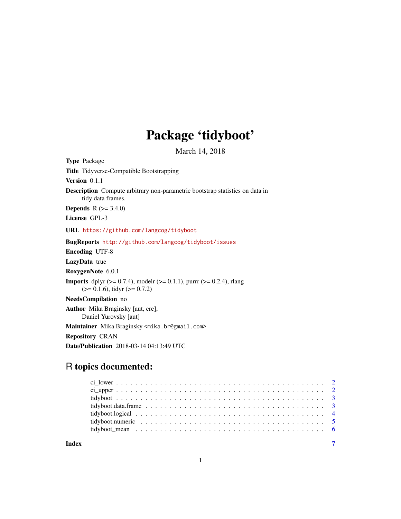## Package 'tidyboot'

March 14, 2018

Type Package Title Tidyverse-Compatible Bootstrapping Version 0.1.1 Description Compute arbitrary non-parametric bootstrap statistics on data in tidy data frames. **Depends** R  $(>= 3.4.0)$ License GPL-3 URL <https://github.com/langcog/tidyboot> BugReports <http://github.com/langcog/tidyboot/issues> Encoding UTF-8 LazyData true RoxygenNote 6.0.1 **Imports** dplyr ( $>= 0.7.4$ ), modelr ( $>= 0.1.1$ ), purrr ( $>= 0.2.4$ ), rlang  $(>= 0.1.6)$ , tidyr  $(>= 0.7.2)$ NeedsCompilation no Author Mika Braginsky [aut, cre], Daniel Yurovsky [aut] Maintainer Mika Braginsky <mika.br@gmail.com> Repository CRAN Date/Publication 2018-03-14 04:13:49 UTC

## R topics documented:

**Index** [7](#page-6-0) **7**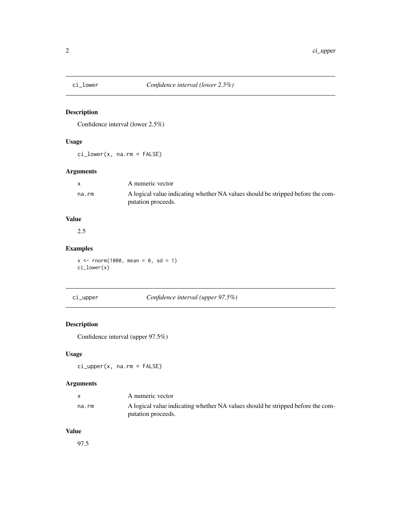<span id="page-1-0"></span>

## Description

Confidence interval (lower 2.5%)

#### Usage

ci\_lower(x, na.rm = FALSE)

#### Arguments

|       | A numeric vector                                                                |
|-------|---------------------------------------------------------------------------------|
| na.rm | A logical value indicating whether NA values should be stripped before the com- |
|       | putation proceeds.                                                              |

## Value

2.5

## Examples

 $x \le -$  rnorm(1000, mean = 0, sd = 1) ci\_lower(x)

ci\_upper *Confidence interval (upper 97.5%)*

## Description

Confidence interval (upper 97.5%)

## Usage

ci\_upper(x, na.rm = FALSE)

## Arguments

|       | A numeric vector                                                                |
|-------|---------------------------------------------------------------------------------|
| na.rm | A logical value indicating whether NA values should be stripped before the com- |
|       | putation proceeds.                                                              |

#### Value

97.5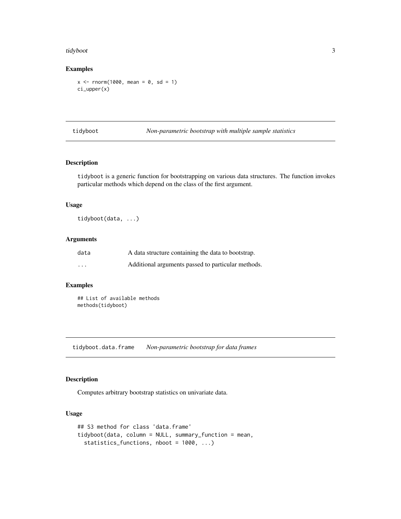#### <span id="page-2-0"></span>tidyboot 3

#### Examples

 $x < -$  rnorm(1000, mean = 0, sd = 1) ci\_upper(x)

tidyboot *Non-parametric bootstrap with multiple sample statistics*

#### Description

tidyboot is a generic function for bootstrapping on various data structures. The function invokes particular methods which depend on the class of the first argument.

#### Usage

tidyboot(data, ...)

#### Arguments

| data     | A data structure containing the data to bootstrap. |
|----------|----------------------------------------------------|
| $\cdots$ | Additional arguments passed to particular methods. |

#### Examples

```
## List of available methods
methods(tidyboot)
```
tidyboot.data.frame *Non-parametric bootstrap for data frames*

#### Description

Computes arbitrary bootstrap statistics on univariate data.

#### Usage

```
## S3 method for class 'data.frame'
tidyboot(data, column = NULL, summary_function = mean,
 statistics_functions, nboot = 1000, ...)
```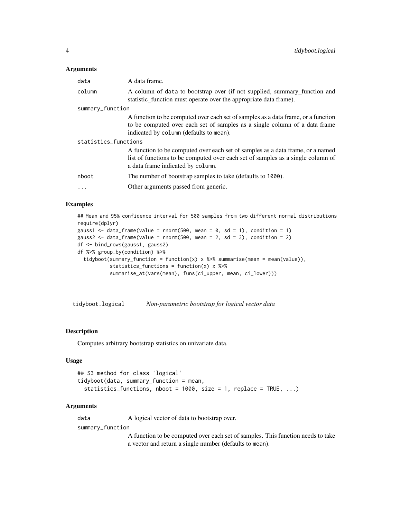#### <span id="page-3-0"></span>Arguments

| data                 | A data frame.                                                                                                                                                                                              |  |  |  |
|----------------------|------------------------------------------------------------------------------------------------------------------------------------------------------------------------------------------------------------|--|--|--|
| column               | A column of data to bootstrap over (if not supplied, summary function and<br>statistic_function must operate over the appropriate data frame).                                                             |  |  |  |
| summary_function     |                                                                                                                                                                                                            |  |  |  |
|                      | A function to be computed over each set of samples as a data frame, or a function<br>to be computed over each set of samples as a single column of a data frame<br>indicated by column (defaults to mean). |  |  |  |
| statistics_functions |                                                                                                                                                                                                            |  |  |  |
|                      | A function to be computed over each set of samples as a data frame, or a named<br>list of functions to be computed over each set of samples as a single column of<br>a data frame indicated by column.     |  |  |  |
| nboot                | The number of bootstrap samples to take (defaults to 1000).                                                                                                                                                |  |  |  |
|                      | Other arguments passed from generic.                                                                                                                                                                       |  |  |  |

#### Examples

```
## Mean and 95% confidence interval for 500 samples from two different normal distributions
require(dplyr)
gauss1 <- data_frame(value = rnorm(500, mean = 0, sd = 1), condition = 1)
gauss2 \le data_frame(value = rnorm(500, mean = 2, sd = 3), condition = 2)
df <- bind_rows(gauss1, gauss2)
df %>% group_by(condition) %>%
  tidyboot(summary_function = function(x) x %>% summarise(mean = mean(value)),
           statistics_functions = function(x) x %>%
           summarise_at(vars(mean), funs(ci_upper, mean, ci_lower)))
```
tidyboot.logical *Non-parametric bootstrap for logical vector data*

#### Description

Computes arbitrary bootstrap statistics on univariate data.

#### Usage

```
## S3 method for class 'logical'
tidyboot(data, summary_function = mean,
  statistics_functions, nboot = 1000, size = 1, replace = TRUE, \ldots)
```
#### Arguments

data A logical vector of data to bootstrap over.

summary\_function

A function to be computed over each set of samples. This function needs to take a vector and return a single number (defaults to mean).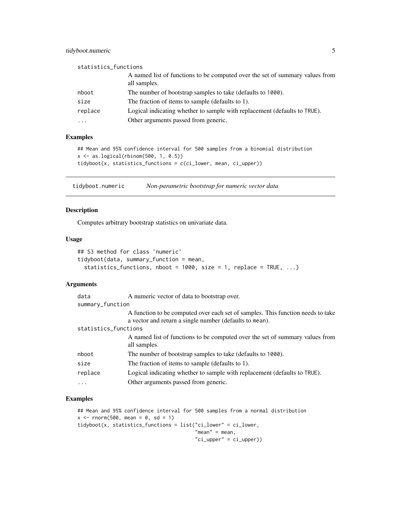#### <span id="page-4-0"></span>tidyboot.numeric 5

| statistics_functions |                                                                                              |
|----------------------|----------------------------------------------------------------------------------------------|
|                      | A named list of functions to be computed over the set of summary values from<br>all samples. |
| nboot                | The number of bootstrap samples to take (defaults to 1000).                                  |
| size                 | The fraction of items to sample (defaults to 1).                                             |
| replace              | Logical indicating whether to sample with replacement (defaults to TRUE).                    |
| $\cdots$             | Other arguments passed from generic.                                                         |

#### Examples

```
## Mean and 95% confidence interval for 500 samples from a binomial distribution
x <- as.logical(rbinom(500, 1, 0.5))
tidyboot(x, statistics_functions = c(ci_lower, mean, ci_upper))
```
tidyboot.numeric *Non-parametric bootstrap for numeric vector data*

#### Description

Computes arbitrary bootstrap statistics on univariate data.

#### Usage

```
## S3 method for class 'numeric'
tidyboot(data, summary_function = mean,
  statistics_functions, nboot = 1000, size = 1, replace = TRUE, \ldots)
```
#### Arguments

| data                 | A numeric vector of data to bootstrap over.                                                                                                |  |  |  |  |
|----------------------|--------------------------------------------------------------------------------------------------------------------------------------------|--|--|--|--|
| summary_function     |                                                                                                                                            |  |  |  |  |
|                      | A function to be computed over each set of samples. This function needs to take<br>a vector and return a single number (defaults to mean). |  |  |  |  |
| statistics_functions |                                                                                                                                            |  |  |  |  |
|                      | A named list of functions to be computed over the set of summary values from                                                               |  |  |  |  |
|                      | all samples.                                                                                                                               |  |  |  |  |
| nboot                | The number of bootstrap samples to take (defaults to 1000).                                                                                |  |  |  |  |
| size                 | The fraction of items to sample (defaults to 1).                                                                                           |  |  |  |  |
| replace              | Logical indicating whether to sample with replacement (defaults to TRUE).                                                                  |  |  |  |  |
| $\cdots$             | Other arguments passed from generic.                                                                                                       |  |  |  |  |

#### Examples

```
## Mean and 95% confidence interval for 500 samples from a normal distribution
x \le - rnorm(500, mean = 0, sd = 1)
tidyboot(x, statistics_functions = list("ci_lower" = ci_lower,
                                        "mean" = mean,"ci_upper" = ci_upper))
```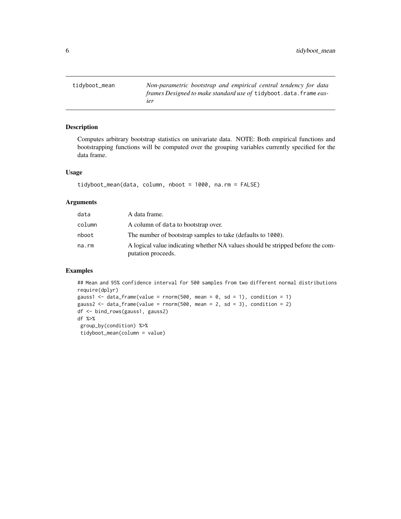<span id="page-5-0"></span>tidyboot\_mean *Non-parametric bootstrap and empirical central tendency for data frames Designed to make standard use of* tidyboot.data.frame *easier*

#### Description

Computes arbitrary bootstrap statistics on univariate data. NOTE: Both empirical functions and bootstrapping functions will be computed over the grouping variables currently specified for the data frame.

#### Usage

```
tidyboot_mean(data, column, nboot = 1000, na.rm = FALSE)
```
#### Arguments

| data   | A data frame.                                                                                         |
|--------|-------------------------------------------------------------------------------------------------------|
| column | A column of data to bootstrap over.                                                                   |
| nboot  | The number of bootstrap samples to take (defaults to 1000).                                           |
| na.rm  | A logical value indicating whether NA values should be stripped before the com-<br>putation proceeds. |

#### Examples

```
## Mean and 95% confidence interval for 500 samples from two different normal distributions
require(dplyr)
gauss1 <- data_frame(value = rnorm(500, mean = 0, sd = 1), condition = 1)
gauss2 <- data_frame(value = rnorm(500, mean = 2, sd = 3), condition = 2)
df <- bind_rows(gauss1, gauss2)
df %>%
group_by(condition) %>%
tidyboot_mean(column = value)
```